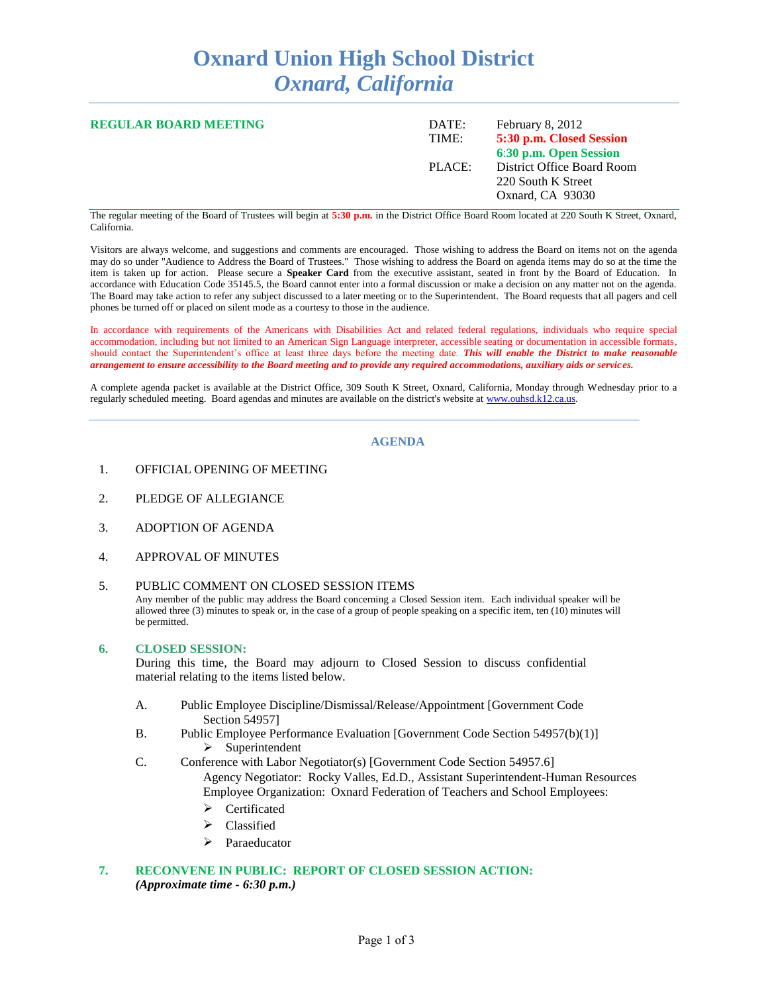# **Oxnard Union High School District** *Oxnard, California*

| <b>REGULAR BOARD MEETING</b> | DATE:<br>TIME: | February 8, 2012<br>5:30 p.m. Closed Session<br>6:30 p.m. Open Session |
|------------------------------|----------------|------------------------------------------------------------------------|
|                              | PLACE:         | District Office Board Room<br>220 South K Street<br>Oxnard, CA 93030   |

The regular meeting of the Board of Trustees will begin at **5:30 p.m.** in the District Office Board Room located at 220 South K Street, Oxnard, California.

Visitors are always welcome, and suggestions and comments are encouraged. Those wishing to address the Board on items not on the agenda may do so under "Audience to Address the Board of Trustees." Those wishing to address the Board on agenda items may do so at the time the item is taken up for action. Please secure a **Speaker Card** from the executive assistant, seated in front by the Board of Education. In accordance with Education Code 35145.5, the Board cannot enter into a formal discussion or make a decision on any matter not on the agenda. The Board may take action to refer any subject discussed to a later meeting or to the Superintendent. The Board requests that all pagers and cell phones be turned off or placed on silent mode as a courtesy to those in the audience.

In accordance with requirements of the Americans with Disabilities Act and related federal regulations, individuals who require special accommodation, including but not limited to an American Sign Language interpreter, accessible seating or documentation in accessible formats, should contact the Superintendent's office at least three days before the meeting date. *This will enable the District to make reasonable arrangement to ensure accessibility to the Board meeting and to provide any required accommodations, auxiliary aids or services.*

A complete agenda packet is available at the District Office, 309 South K Street, Oxnard, California, Monday through Wednesday prior to a regularly scheduled meeting. Board agendas and minutes are available on the district's website at [www.ouhsd.k12.ca.us.](http://www.ouhsd.k12.ca.us/)

### **AGENDA**

- 1. OFFICIAL OPENING OF MEETING
- 2. PLEDGE OF ALLEGIANCE
- 3. ADOPTION OF AGENDA
- 4. APPROVAL OF MINUTES

#### 5. PUBLIC COMMENT ON CLOSED SESSION ITEMS

Any member of the public may address the Board concerning a Closed Session item. Each individual speaker will be allowed three (3) minutes to speak or, in the case of a group of people speaking on a specific item, ten (10) minutes will be permitted.

#### **6. CLOSED SESSION:**

During this time, the Board may adjourn to Closed Session to discuss confidential material relating to the items listed below.

- A. Public Employee Discipline/Dismissal/Release/Appointment [Government Code Section 54957]
- B. Public Employee Performance Evaluation [Government Code Section 54957(b)(1)]  $\triangleright$  Superintendent
- C. Conference with Labor Negotiator(s) [Government Code Section 54957.6] Agency Negotiator: Rocky Valles, Ed.D., Assistant Superintendent-Human Resources Employee Organization: Oxnard Federation of Teachers and School Employees:
	- > Certificated
	- Classified
	- > Paraeducator

#### **7. RECONVENE IN PUBLIC: REPORT OF CLOSED SESSION ACTION:** *(Approximate time - 6:30 p.m.)*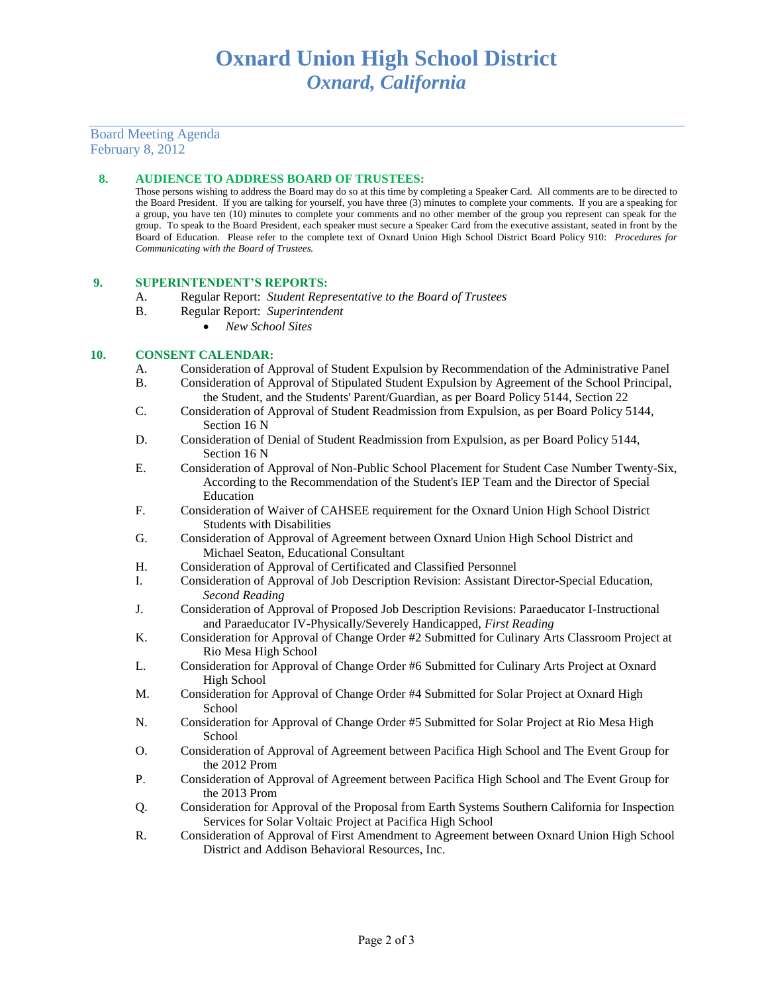## Board Meeting Agenda February 8, 2012

#### **8. AUDIENCE TO ADDRESS BOARD OF TRUSTEES:**

Those persons wishing to address the Board may do so at this time by completing a Speaker Card. All comments are to be directed to the Board President. If you are talking for yourself, you have three (3) minutes to complete your comments. If you are a speaking for a group, you have ten (10) minutes to complete your comments and no other member of the group you represent can speak for the group. To speak to the Board President, each speaker must secure a Speaker Card from the executive assistant, seated in front by the Board of Education. Please refer to the complete text of Oxnard Union High School District Board Policy 910: *Procedures for Communicating with the Board of Trustees.*

#### **9. SUPERINTENDENT'S REPORTS:**

- A. Regular Report: *Student Representative to the Board of Trustees*
- B. Regular Report: *Superintendent*
	- *New School Sites*

#### **10. CONSENT CALENDAR:**

- A. Consideration of Approval of Student Expulsion by Recommendation of the Administrative Panel
- B. Consideration of Approval of Stipulated Student Expulsion by Agreement of the School Principal, the Student, and the Students' Parent/Guardian, as per Board Policy 5144, Section 22
- C. Consideration of Approval of Student Readmission from Expulsion, as per Board Policy 5144, Section 16 N
- D. Consideration of Denial of Student Readmission from Expulsion, as per Board Policy 5144, Section 16 N
- E. Consideration of Approval of Non-Public School Placement for Student Case Number Twenty-Six, According to the Recommendation of the Student's IEP Team and the Director of Special Education
- F. Consideration of Waiver of CAHSEE requirement for the Oxnard Union High School District Students with Disabilities
- G. Consideration of Approval of Agreement between Oxnard Union High School District and Michael Seaton, Educational Consultant
- H. Consideration of Approval of Certificated and Classified Personnel
- I. Consideration of Approval of Job Description Revision: Assistant Director-Special Education, *Second Reading*
- J. Consideration of Approval of Proposed Job Description Revisions: Paraeducator I-Instructional and Paraeducator IV-Physically/Severely Handicapped, *First Reading*
- K. Consideration for Approval of Change Order #2 Submitted for Culinary Arts Classroom Project at Rio Mesa High School
- L. Consideration for Approval of Change Order #6 Submitted for Culinary Arts Project at Oxnard High School
- M. Consideration for Approval of Change Order #4 Submitted for Solar Project at Oxnard High School
- N. Consideration for Approval of Change Order #5 Submitted for Solar Project at Rio Mesa High School
- O. Consideration of Approval of Agreement between Pacifica High School and The Event Group for the 2012 Prom
- P. Consideration of Approval of Agreement between Pacifica High School and The Event Group for the 2013 Prom
- Q. Consideration for Approval of the Proposal from Earth Systems Southern California for Inspection Services for Solar Voltaic Project at Pacifica High School
- R. Consideration of Approval of First Amendment to Agreement between Oxnard Union High School District and Addison Behavioral Resources, Inc.